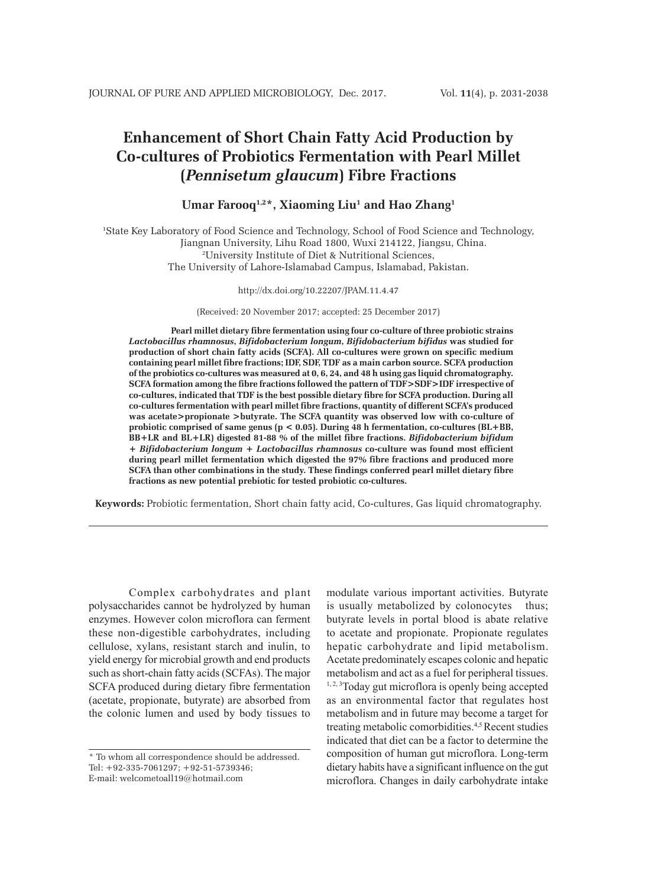# **Enhancement of Short Chain Fatty Acid Production by Co-cultures of Probiotics Fermentation with Pearl Millet (***Pennisetum glaucum***) Fibre Fractions**

# **Umar Farooq1,2\*, Xiaoming Liu1 and Hao Zhang1**

1 State Key Laboratory of Food Science and Technology, School of Food Science and Technology, Jiangnan University, Lihu Road 1800, Wuxi 214122, Jiangsu, China. 2 University Institute of Diet & Nutritional Sciences, The University of Lahore-Islamabad Campus, Islamabad, Pakistan.

#### http://dx.doi.org/10.22207/JPAM.11.4.47

(Received: 20 November 2017; accepted: 25 December 2017)

**Pearl millet dietary fibre fermentation using four co-culture of three probiotic strains**  *Lactobacillus rhamnosus***,** *Bifidobacterium longum***,** *Bifidobacterium bifidus* **was studied for production of short chain fatty acids (SCFA). All co-cultures were grown on specific medium containing pearl millet fibre fractions; IDF, SDF, TDF as a main carbon source. SCFA production of the probiotics co-cultures was measured at 0, 6, 24, and 48 h using gas liquid chromatography. SCFA formation among the fibre fractions followed the pattern of TDF>SDF>IDF irrespective of co-cultures, indicated that TDF is the best possible dietary fibre for SCFA production. During all co-cultures fermentation with pearl millet fibre fractions, quantity of different SCFA's produced was acetate>propionate >butyrate. The SCFA quantity was observed low with co-culture of probiotic comprised of same genus (p < 0.05). During 48 h fermentation, co-cultures (BL+BB, BB+LR and BL+LR) digested 81-88 % of the millet fibre fractions.** *Bifidobacterium bifidum* **+** *Bifidobacterium longum* **+** *Lactobacillus rhamnosus* **co-culture was found most efficient during pearl millet fermentation which digested the 97% fibre fractions and produced more SCFA than other combinations in the study. These findings conferred pearl millet dietary fibre fractions as new potential prebiotic for tested probiotic co-cultures.**

**Keywords:** Probiotic fermentation, Short chain fatty acid, Co-cultures, Gas liquid chromatography.

Complex carbohydrates and plant polysaccharides cannot be hydrolyzed by human enzymes. However colon microflora can ferment these non-digestible carbohydrates, including cellulose, xylans, resistant starch and inulin, to yield energy for microbial growth and end products such as short-chain fatty acids (SCFAs). The major SCFA produced during dietary fibre fermentation (acetate, propionate, butyrate) are absorbed from the colonic lumen and used by body tissues to

modulate various important activities. Butyrate is usually metabolized by colonocytes thus; butyrate levels in portal blood is abate relative to acetate and propionate. Propionate regulates hepatic carbohydrate and lipid metabolism. Acetate predominately escapes colonic and hepatic metabolism and act as a fuel for peripheral tissues.  $1, 2, 3$ Today gut microflora is openly being accepted as an environmental factor that regulates host metabolism and in future may become a target for treating metabolic comorbidities.4,5 Recent studies indicated that diet can be a factor to determine the composition of human gut microflora. Long-term dietary habits have a significant influence on the gut microflora. Changes in daily carbohydrate intake

<sup>\*</sup> To whom all correspondence should be addressed. Tel: +92-335-7061297; +92-51-5739346; E-mail: welcometoall19@hotmail.com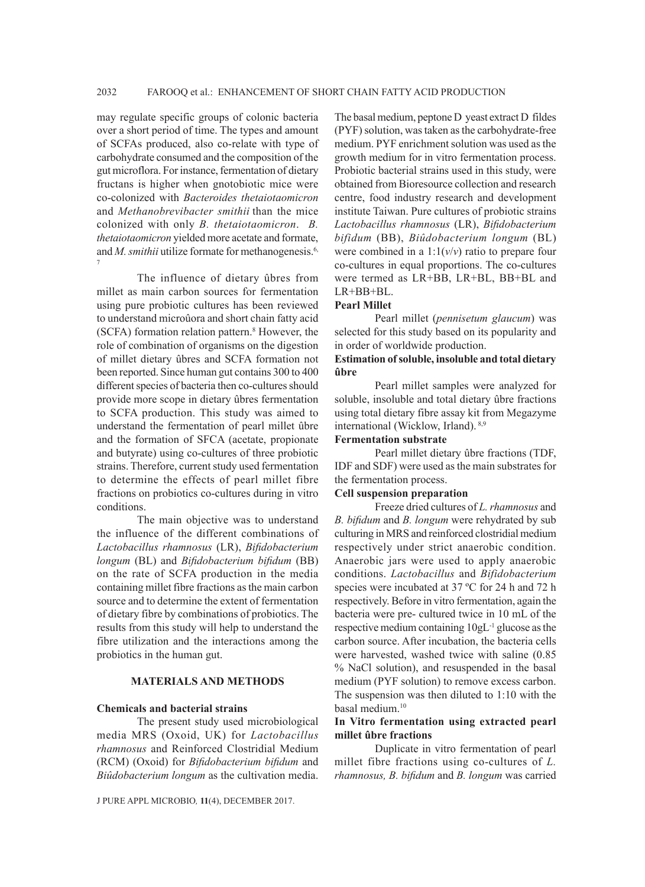may regulate specific groups of colonic bacteria over a short period of time. The types and amount of SCFAs produced, also co-relate with type of carbohydrate consumed and the composition of the gut microflora. For instance, fermentation of dietary fructans is higher when gnotobiotic mice were co-colonized with *Bacteroides thetaiotaomicron* and *Methanobrevibacter smithii* than the mice colonized with only *B. thetaiotaomicron*. *B. thetaiotaomicron* yielded more acetate and formate, and *M. smithii* utilize formate for methanogenesis.<sup>6,</sup> 7

The influence of dietary ûbres from millet as main carbon sources for fermentation using pure probiotic cultures has been reviewed to understand microûora and short chain fatty acid (SCFA) formation relation pattern.<sup>8</sup> However, the role of combination of organisms on the digestion of millet dietary ûbres and SCFA formation not been reported. Since human gut contains 300 to 400 different species of bacteria then co-cultures should provide more scope in dietary ûbres fermentation to SCFA production. This study was aimed to understand the fermentation of pearl millet ûbre and the formation of SFCA (acetate, propionate and butyrate) using co-cultures of three probiotic strains. Therefore, current study used fermentation to determine the effects of pearl millet fibre fractions on probiotics co-cultures during in vitro conditions.

The main objective was to understand the influence of the different combinations of *Lactobacillus rhamnosus* (LR), *Bifidobacterium longum* (BL) and *Bifidobacterium bifidum* (BB) on the rate of SCFA production in the media containing millet fibre fractions as the main carbon source and to determine the extent of fermentation of dietary fibre by combinations of probiotics. The results from this study will help to understand the fibre utilization and the interactions among the probiotics in the human gut.

### **MATERIALS AND METHODS**

### **Chemicals and bacterial strains**

The present study used microbiological media MRS (Oxoid, UK) for *Lactobacillus rhamnosus* and Reinforced Clostridial Medium (RCM) (Oxoid) for *Bifidobacterium bifidum* and *Biûdobacterium longum* as the cultivation media.

J PURE APPL MICROBIO*,* **11**(4), DECEMBER 2017.

The basal medium, peptone D yeast extract D fildes (PYF) solution, was taken as the carbohydrate-free medium. PYF enrichment solution was used as the growth medium for in vitro fermentation process. Probiotic bacterial strains used in this study, were obtained from Bioresource collection and research centre, food industry research and development institute Taiwan. Pure cultures of probiotic strains *Lactobacillus rhamnosus* (LR), *Bifidobacterium bifidum* (BB), *Biûdobacterium longum* (BL) were combined in a  $1:1(v/v)$  ratio to prepare four co-cultures in equal proportions. The co-cultures were termed as LR+BB, LR+BL, BB+BL and LR+BB+BL.

#### **Pearl Millet**

Pearl millet (*pennisetum glaucum*) was selected for this study based on its popularity and in order of worldwide production.

### **Estimation of soluble, insoluble and total dietary ûbre**

Pearl millet samples were analyzed for soluble, insoluble and total dietary ûbre fractions using total dietary fibre assay kit from Megazyme international (Wicklow, Irland). 8,9

### **Fermentation substrate**

Pearl millet dietary ûbre fractions (TDF, IDF and SDF) were used as the main substrates for the fermentation process.

### **Cell suspension preparation**

Freeze dried cultures of *L. rhamnosus* and *B. bifidum* and *B. longum* were rehydrated by sub culturing in MRS and reinforced clostridial medium respectively under strict anaerobic condition. Anaerobic jars were used to apply anaerobic conditions. *Lactobacillus* and *Bifidobacterium* species were incubated at 37 °C for 24 h and 72 h respectively. Before in vitro fermentation, again the bacteria were pre- cultured twice in 10 mL of the respective medium containing 10gL-1 glucose as the carbon source. After incubation, the bacteria cells were harvested, washed twice with saline (0.85 % NaCl solution), and resuspended in the basal medium (PYF solution) to remove excess carbon. The suspension was then diluted to 1:10 with the basal medium.<sup>10</sup>

# **In Vitro fermentation using extracted pearl millet ûbre fractions**

Duplicate in vitro fermentation of pearl millet fibre fractions using co-cultures of *L. rhamnosus, B. bifidum* and *B. longum* was carried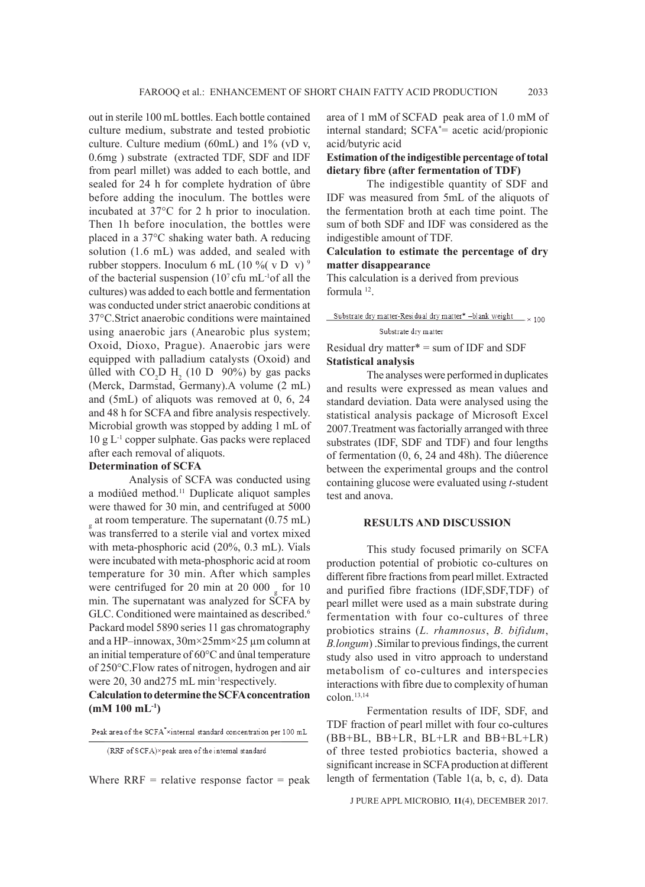out in sterile 100 mL bottles. Each bottle contained culture medium, substrate and tested probiotic culture. Culture medium (60mL) and 1% (vD v, 0.6mg ) substrate (extracted TDF, SDF and IDF from pearl millet) was added to each bottle, and sealed for 24 h for complete hydration of ûbre before adding the inoculum. The bottles were incubated at 37°C for 2 h prior to inoculation. Then 1h before inoculation, the bottles were placed in a 37°C shaking water bath. A reducing solution (1.6 mL) was added, and sealed with rubber stoppers. Inoculum 6 mL (10 %( $\rm v D \dot{v}$ )<sup>9</sup> of the bacterial suspension  $(10<sup>7</sup>$  cfu mL<sup>-1</sup>of all the cultures) was added to each bottle and fermentation was conducted under strict anaerobic conditions at 37°C.Strict anaerobic conditions were maintained using anaerobic jars (Anearobic plus system; Oxoid, Dioxo, Prague). Anaerobic jars were equipped with palladium catalysts (Oxoid) and ûlled with  $CO<sub>2</sub>$ D H<sub>2</sub> (10 D 90%) by gas packs (Merck, Darmstad, Germany).A volume (2 mL) and (5mL) of aliquots was removed at 0, 6, 24 and 48 h for SCFA and fibre analysis respectively. Microbial growth was stopped by adding 1 mL of  $10 \text{ g L}^{-1}$  copper sulphate. Gas packs were replaced after each removal of aliquots.

### **Determination of SCFA**

Analysis of SCFA was conducted using a modiûed method.11 Duplicate aliquot samples were thawed for 30 min, and centrifuged at 5000  $_{\rm g}$  at room temperature. The supernatant (0.75 mL) was transferred to a sterile vial and vortex mixed with meta-phosphoric acid (20%, 0.3 mL). Vials were incubated with meta-phosphoric acid at room temperature for 30 min. After which samples were centrifuged for 20 min at 20 000  $_{\rm g}$  for 10 min. The supernatant was analyzed for SCFA by GLC. Conditioned were maintained as described.<sup>6</sup> Packard model 5890 series 11 gas chromatography and a HP–innowax, 30m×25mm×25 µm column at an initial temperature of 60°C and ûnal temperature of 250°C.Flow rates of nitrogen, hydrogen and air were 20, 30 and 275 mL min<sup>-1</sup>respectively.

**Calculation to determine the SCFA concentration (mM 100 mL-1)**

Peak area of the SCFA<sup>\*</sup>xinternal standard concentration per 100 mL

Where  $RRF =$  relative response factor  $=$  peak

area of 1 mM of SCFAD peak area of 1.0 mM of internal standard; SCFA\* = acetic acid/propionic acid/butyric acid

### **Estimation of the indigestible percentage of total dietary fibre (after fermentation of TDF)**

The indigestible quantity of SDF and IDF was measured from 5mL of the aliquots of the fermentation broth at each time point. The sum of both SDF and IDF was considered as the indigestible amount of TDF.

# **Calculation to estimate the percentage of dry matter disappearance**

This calculation is a derived from previous formula 12.

Substrate dry matter-Residual dry matter\* -blank weight  $\frac{1}{x}$  100 Substrate dry matter

# Residual dry matter\* = sum of IDF and SDF **Statistical analysis**

The analyses were performed in duplicates and results were expressed as mean values and standard deviation. Data were analysed using the statistical analysis package of Microsoft Excel 2007.Treatment was factorially arranged with three substrates (IDF, SDF and TDF) and four lengths of fermentation (0, 6, 24 and 48h). The diûerence between the experimental groups and the control containing glucose were evaluated using *t*-student test and anova.

#### **RESULTS AND DISCUSSION**

This study focused primarily on SCFA production potential of probiotic co-cultures on different fibre fractions from pearl millet. Extracted and purified fibre fractions (IDF,SDF,TDF) of pearl millet were used as a main substrate during fermentation with four co-cultures of three probiotics strains (*L. rhamnosus*, *B. bifidum*, *B.longum*) .Similar to previous findings, the current study also used in vitro approach to understand metabolism of co-cultures and interspecies interactions with fibre due to complexity of human colon.13,14

Fermentation results of IDF, SDF, and TDF fraction of pearl millet with four co-cultures (BB+BL, BB+LR, BL+LR and BB+BL+LR) of three tested probiotics bacteria, showed a significant increase in SCFA production at different length of fermentation (Table 1(a, b, c, d). Data

J PURE APPL MICROBIO*,* **11**(4), DECEMBER 2017.

<sup>(</sup>RRF of SCFA) $\times$ peak area of the internal standard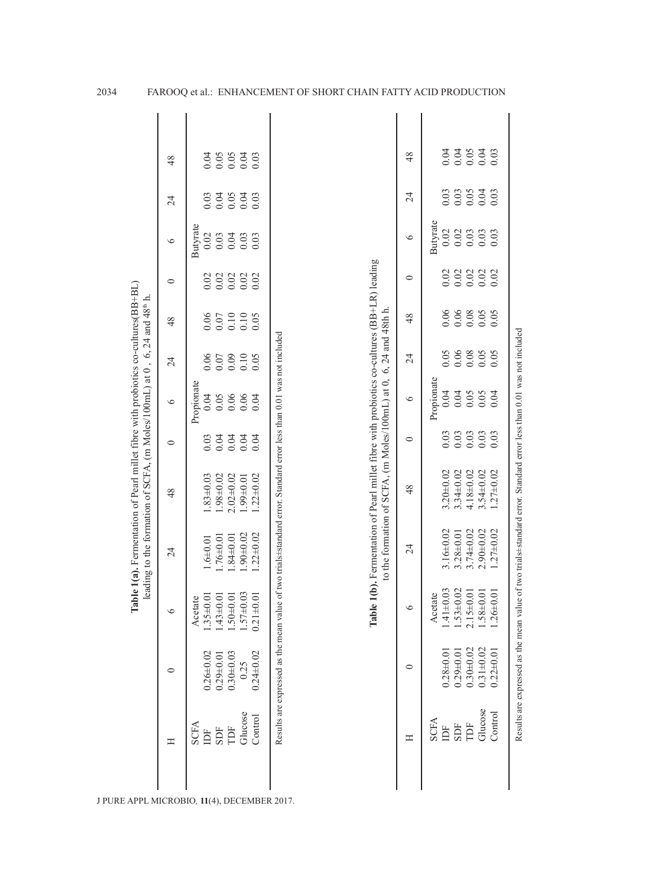| Table 1(a). Fermentation of Pearl millet fibre with probiotics co-cultures (BB+BL)<br>leading to the formation of SCFA, $(m$ Moles/100mL) at 0, 6, 24 and 48 <sup>th</sup> h | 48      |             | 0.04            |                 |                | $0.05$<br>$0.05$<br>$0.04$                          | 0.03            |                                                                                                                      |                                                                                    | 48      |             |                 |                 |                                  |                                             |
|------------------------------------------------------------------------------------------------------------------------------------------------------------------------------|---------|-------------|-----------------|-----------------|----------------|-----------------------------------------------------|-----------------|----------------------------------------------------------------------------------------------------------------------|------------------------------------------------------------------------------------|---------|-------------|-----------------|-----------------|----------------------------------|---------------------------------------------|
|                                                                                                                                                                              | 24      |             | 0.03            | 0.04            |                | $0.05$<br>0.04                                      | 0.03            |                                                                                                                      |                                                                                    | 24      |             | 0.03            | 0.03            |                                  | 0.04                                        |
|                                                                                                                                                                              | $\circ$ | Butyrate    | 0.02            | 0.03            |                | 0.04                                                | 0.03            |                                                                                                                      |                                                                                    | $\circ$ | Butyrate    | 0.02            | 0.02            | 0.03                             | 0.03                                        |
|                                                                                                                                                                              | 0       | Propionate  | 0.02            | 0.02            |                | $0.02$<br>$0.02$                                    | 0.02            |                                                                                                                      |                                                                                    | $\circ$ | Propionate  | 0.02            | 0.02            |                                  | $0.02$<br>$0.02$                            |
|                                                                                                                                                                              | 48      |             | 0.06            | 0.07            |                | $\begin{array}{c} 0.10 \\ 0.10 \\ 0.05 \end{array}$ |                 |                                                                                                                      |                                                                                    | 48      |             | 0.06            | $0.06$<br>0.08  |                                  | 0.05                                        |
|                                                                                                                                                                              | 24      |             | 0.06            | 0.07            |                | $0.10$<br>$0.10$<br>$0.05$                          |                 |                                                                                                                      |                                                                                    | 24      |             | 0.05            | 0.06            | 0.08                             | 0.05                                        |
|                                                                                                                                                                              | $\circ$ |             | 0.04            | 0.05            |                | $0.06$<br>0.06                                      | 0.04            |                                                                                                                      | to the formation of SCFA, $(m \text{ Moles}/100 \text{mL})$ at 0, 6, 24 and 48th h | $\circ$ |             | 0.04            | 0.04            | 0.05<br>0.05                     | 0.04                                        |
|                                                                                                                                                                              | $\circ$ |             | 0.03            | 0.04            |                | 0.04                                                | 0.04            |                                                                                                                      |                                                                                    | $\circ$ |             | 0.03            | 0.03            | 0.03                             | $\begin{array}{c} 0.03 \\ 0.03 \end{array}$ |
|                                                                                                                                                                              | 48      |             | $.83 \pm 0.03$  | $1.98 + 0.02$   | $2.02\pm0.02$  | $10.0766$ .                                         | $.22 \pm 0.02$  |                                                                                                                      |                                                                                    | 48      |             | $3.20 + 0.02$   | $3.34 \pm 0.02$ | $4.18 + 0.02$<br>$3.54 \pm 0.02$ | $1.27 \pm 0.02$                             |
|                                                                                                                                                                              | 24      |             | $-640.01$       | $.76 \pm 0.01$  | $.84 \pm 0.01$ | $.90 \pm 0.02$                                      | $1.22 \pm 0.02$ | le 1(b). Fermentation of Pearl millet fibre with probiotics co-cultures (BB+LR) leading                              |                                                                                    | 24      |             | $3.16 \pm 0.02$ | $3.28 + 0.01$   | $3.74 \pm 0.02$<br>$2.90 + 0.02$ | $1.27 \pm 0.02$                             |
|                                                                                                                                                                              | $\circ$ | Acetate     | $1.35 \pm 0.01$ | $1.43 \pm 0.01$ | $.50 \pm 0.01$ | $1.57 + 0.03$                                       | $0.21 \pm 0.01$ | Tabl                                                                                                                 |                                                                                    |         | Acetate     | $1.41 \pm 0.03$ | $1.53 \pm 0.02$ | $0.0485$ .<br>$2.15 \pm 0.0$     | $1.26 \pm 0.0$                              |
|                                                                                                                                                                              | 0       |             | $0.26 + 0.02$   | $0.29 + 0.01$   | $0.30 + 0.03$  | 0.25                                                | $0.24 + 0.02$   | Results are expressed as the mean value of two trials±standard error. Standard error less than 0.01 was not included |                                                                                    | $\circ$ |             | $0.28 + 0.01$   | $0.29 + 0.01$   | $0.30 + 0.02$<br>$0.31 + 0.02$   | $0.22 \pm 0.01$                             |
|                                                                                                                                                                              | Ξ       | <b>SCFA</b> | Ĕ               | SDF             | Ë              | Glucose                                             | Control         |                                                                                                                      |                                                                                    | Ξ       | <b>SCFA</b> | Ĕ               | SDF             | Glucose<br>TDF                   | Control                                     |
|                                                                                                                                                                              |         |             |                 |                 |                |                                                     |                 |                                                                                                                      |                                                                                    |         |             |                 |                 |                                  |                                             |

Results are expressed as the mean value of two trials±standard error. Standard error less than 0.01 was not included

Results are expressed as the mean value of two trials±standard error. Standard error less than 0.01 was not included

2034 FAROOQ et al.: ENHANCEMENT OF SHORT CHAIN FATTY ACID PRODUCTION

J PURE APPL MICROBIO*,* **11**(4), DECEMBER 2017.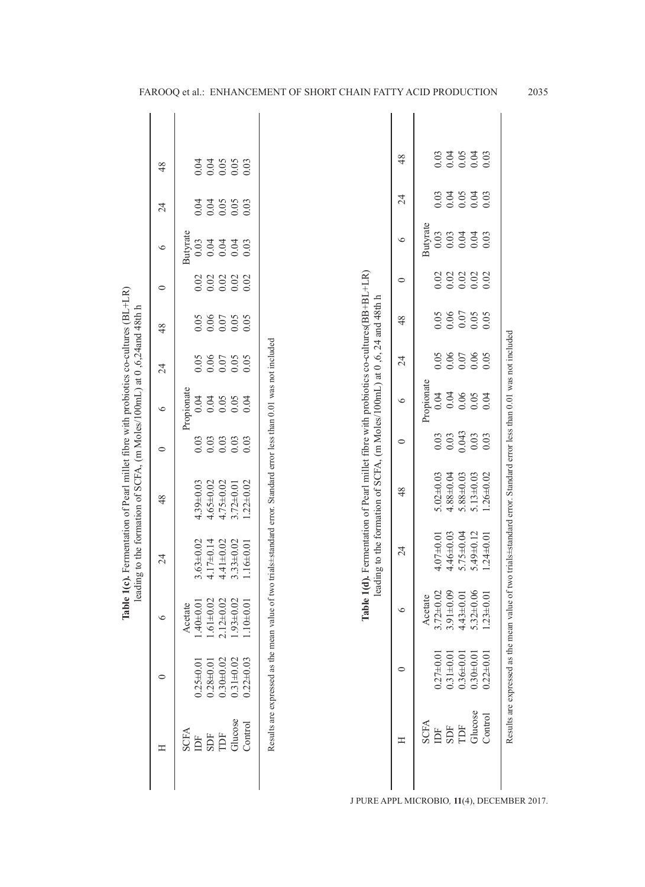| lable 1(c). Fermentation of Pearl millet fibre with probiotics co-cultures (BL+LR)<br>leading to the formation of SCFA, (m Moles/100mL) at 0,6,24 and 48th h | 48              |             |                                                                                                                                                                                                                                                                                                                                                                                             |                              | 34<br>0.05<br>0.00                       |                 | 0.03                                 |                 |               |                 |
|--------------------------------------------------------------------------------------------------------------------------------------------------------------|-----------------|-------------|---------------------------------------------------------------------------------------------------------------------------------------------------------------------------------------------------------------------------------------------------------------------------------------------------------------------------------------------------------------------------------------------|------------------------------|------------------------------------------|-----------------|--------------------------------------|-----------------|---------------|-----------------|
|                                                                                                                                                              | $\overline{24}$ |             |                                                                                                                                                                                                                                                                                                                                                                                             | 0.04<br>0.04<br>0.05<br>0.03 |                                          |                 |                                      |                 |               |                 |
|                                                                                                                                                              | $\circ$         | Butyrate    | 0.03                                                                                                                                                                                                                                                                                                                                                                                        | 0.04                         | 0.04                                     | 0.04            | 0.03                                 |                 |               |                 |
|                                                                                                                                                              | $\circ$         |             | 0.02                                                                                                                                                                                                                                                                                                                                                                                        | 0.02                         | 0.02                                     | 0.02            | 0.02                                 |                 |               |                 |
|                                                                                                                                                              | 48              | Propionate  | 0.05                                                                                                                                                                                                                                                                                                                                                                                        | 0.06                         | $0.07\,$                                 | 0.05            | 0.05                                 |                 |               |                 |
|                                                                                                                                                              | $\overline{24}$ |             |                                                                                                                                                                                                                                                                                                                                                                                             |                              | 0.06<br>0.05<br>0.05<br>$0.07\,$<br>0.05 |                 |                                      |                 |               |                 |
|                                                                                                                                                              | $\circ$         |             |                                                                                                                                                                                                                                                                                                                                                                                             |                              |                                          | 0.04            | 0.04                                 | 0.05            | 0.05          | 0.04            |
|                                                                                                                                                              | $\circ$         |             |                                                                                                                                                                                                                                                                                                                                                                                             |                              |                                          |                 | 0.03<br>0.03<br>0.03<br>0.03<br>0.03 |                 |               |                 |
|                                                                                                                                                              | 48              |             |                                                                                                                                                                                                                                                                                                                                                                                             |                              |                                          | 4.39±0.03       | $4.65 \pm 0.02$                      | $4.75 \pm 0.02$ | $3.72\pm0.01$ | $1.22 \pm 0.02$ |
|                                                                                                                                                              | $\overline{24}$ |             | <b>Table 1(d).</b> Fermentation of Pearl millet fibre with probiotics co-cultures(BB+BL+LR)<br>leading to the formation of SCFA, (m Moles/100mL) at 0,6, 24 and 48th h<br>Results are expressed as the mean value of two trials-standard error. Standard error less than 0.01 was not included<br>$4.17 \pm 0.14$<br>$3.63 + 0.02$<br>$4.41 \pm 0.02$<br>$3.33 \pm 0.02$<br>$1.16 \pm 0.01$ |                              |                                          |                 |                                      |                 |               |                 |
|                                                                                                                                                              | $\circ$         | Acetate     | $1.40 \pm 0.01$                                                                                                                                                                                                                                                                                                                                                                             | $.61 \pm 0.02$               | $12+0.02$                                | $.93 \pm 0.02$  | $.10 + 0.01$                         |                 |               |                 |
|                                                                                                                                                              | $\circ$         |             | $0.25 \pm 0.01$                                                                                                                                                                                                                                                                                                                                                                             | $0.28 + 0.01$                | $0.30 + 0.02$                            | $0.31 \pm 0.02$ | $0.22 \pm 0.03$                      |                 |               |                 |
|                                                                                                                                                              | Η               | <b>SCFA</b> | Ĕ                                                                                                                                                                                                                                                                                                                                                                                           | SDF                          | Ë                                        | Glucose         | Control                              |                 |               |                 |
|                                                                                                                                                              |                 |             |                                                                                                                                                                                                                                                                                                                                                                                             |                              |                                          |                 |                                      |                 |               |                 |

FAROOQ et al.: ENHANCEMENT OF SHORT CHAIN FATTY ACID PRODUCTION 2035

TDF 0.36±0.01 4.43±0.01 5.75±0.04 5.88±0.03 0.043 0.06 0.07 0.07 0.02 0.04 0.05 0.05 Glucose 0.30±0.01 5.32±0.06 5.49±0.12 5.13±0.03 0.03 0.05 0.06 0.05 0.02 0.04 0.04 0.04 Control 0.22±0.01 1.23±0.01 1.24±0.01 1.26±0.02 0.03 0.04 0.05 0.05 0.02 0.03 0.03 0.03

0.043  $\begin{array}{c} 0.03 \\ 0.03 \end{array}$ 

 $0.05$ <br> $0.03$ <br> $0.03$ 

 $0.05$ <br> $0.03$ <br> $0.03$ 

 $0.03$ <br> $0.03$ 

 $0.02$ <br> $0.02$ <br> $0.02$ 

 $\begin{array}{c} 0.07 \\ 0.05 \\ 0.05 \end{array}$ 

 $\begin{array}{c} 0.07 \\ 0.06 \\ 0.05 \end{array}$ 

 $0.06$ <br>0.05<br>0.04

 $5.13 \pm 0.03$ <br> $1.26 \pm 0.02$  $5.88 + 0.03$ 

 $5.75 \pm 0.04$ <br> $5.49 \pm 0.12$ <br> $1.24 \pm 0.01$ 

 $5.32 \pm 0.06$ <br>1.23 $\pm 0.01$  $4.43 + 0.01$ 

 $0.30 + 0.01$ <br> $0.22 + 0.01$  $0.36 + 0.01$ 

Glucose<br>Control  $\overline{\text{TDF}}$ 

Results are expressed as the mean value of two trials±standard error. Standard error less than 0.01 was not included

Results are expressed as the mean value of two trials±standard error. Standard error less than 0.01 was not included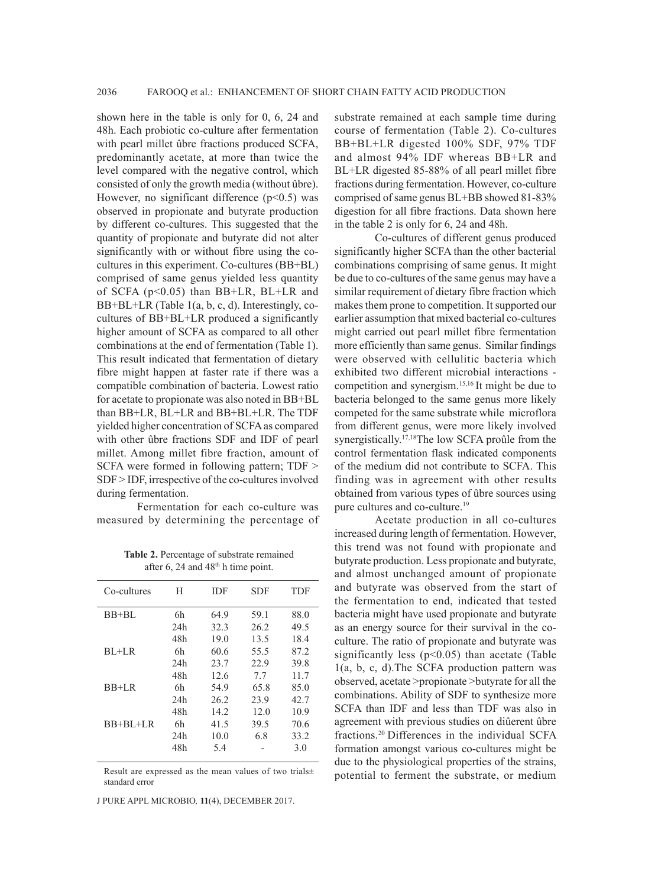shown here in the table is only for 0, 6, 24 and 48h. Each probiotic co-culture after fermentation with pearl millet ûbre fractions produced SCFA, predominantly acetate, at more than twice the level compared with the negative control, which consisted of only the growth media (without ûbre). However, no significant difference  $(p<0.5)$  was observed in propionate and butyrate production by different co-cultures. This suggested that the quantity of propionate and butyrate did not alter significantly with or without fibre using the cocultures in this experiment. Co-cultures (BB+BL) comprised of same genus yielded less quantity of SCFA (p<0.05) than BB+LR, BL+LR and BB+BL+LR (Table 1(a, b, c, d). Interestingly, cocultures of BB+BL+LR produced a significantly higher amount of SCFA as compared to all other combinations at the end of fermentation (Table 1). This result indicated that fermentation of dietary fibre might happen at faster rate if there was a compatible combination of bacteria. Lowest ratio for acetate to propionate was also noted in BB+BL than BB+LR, BL+LR and BB+BL+LR. The TDF yielded higher concentration of SCFA as compared with other ûbre fractions SDF and IDF of pearl millet. Among millet fibre fraction, amount of SCFA were formed in following pattern; TDF > SDF > IDF, irrespective of the co-cultures involved during fermentation.

Fermentation for each co-culture was measured by determining the percentage of

**Table 2.** Percentage of substrate remained after 6, 24 and  $48<sup>th</sup>$  h time point.

| Co-cultures | Н   | <b>IDF</b> | <b>SDF</b> | TDF  |
|-------------|-----|------------|------------|------|
| $BB+BL$     | 6h  | 64.9       | 59.1       | 88.0 |
|             | 24h | 32.3       | 26.2       | 49.5 |
|             | 48h | 19.0       | 13.5       | 18.4 |
| $BI + LR$   | 6h  | 60.6       | 55.5       | 87.2 |
|             | 24h | 23.7       | 22.9       | 39.8 |
|             | 48h | 12.6       | 77         | 11.7 |
| $BB+LR$     | 6h  | 54.9       | 65.8       | 85.0 |
|             | 24h | 26.2       | 23.9       | 42.7 |
|             | 48h | 14.2       | 12.0       | 10.9 |
| $BB+BI+LR$  | 6h  | 41.5       | 39.5       | 70.6 |
|             | 24h | 10.0       | 6.8        | 33.2 |
|             | 48h | 5.4        |            | 3.0  |
|             |     |            |            |      |

Result are expressed as the mean values of two trials± standard error

J PURE APPL MICROBIO*,* **11**(4), DECEMBER 2017.

substrate remained at each sample time during course of fermentation (Table 2). Co-cultures BB+BL+LR digested 100% SDF, 97% TDF and almost 94% IDF whereas BB+LR and BL+LR digested 85-88% of all pearl millet fibre fractions during fermentation. However, co-culture comprised of same genus BL+BB showed 81-83% digestion for all fibre fractions. Data shown here in the table 2 is only for 6, 24 and 48h.

Co-cultures of different genus produced significantly higher SCFA than the other bacterial combinations comprising of same genus. It might be due to co-cultures of the same genus may have a similar requirement of dietary fibre fraction which makes them prone to competition. It supported our earlier assumption that mixed bacterial co-cultures might carried out pearl millet fibre fermentation more efficiently than same genus. Similar findings were observed with cellulitic bacteria which exhibited two different microbial interactions competition and synergism.15,16 It might be due to bacteria belonged to the same genus more likely competed for the same substrate while microflora from different genus, were more likely involved synergistically.<sup>17,18</sup>The low SCFA proûle from the control fermentation flask indicated components of the medium did not contribute to SCFA. This finding was in agreement with other results obtained from various types of ûbre sources using pure cultures and co-culture.<sup>19</sup>

Acetate production in all co-cultures increased during length of fermentation. However, this trend was not found with propionate and butyrate production. Less propionate and butyrate, and almost unchanged amount of propionate and butyrate was observed from the start of the fermentation to end, indicated that tested bacteria might have used propionate and butyrate as an energy source for their survival in the coculture. The ratio of propionate and butyrate was significantly less  $(p<0.05)$  than acetate (Table 1(a, b, c, d).The SCFA production pattern was observed, acetate >propionate >butyrate for all the combinations. Ability of SDF to synthesize more SCFA than IDF and less than TDF was also in agreement with previous studies on diûerent ûbre fractions.20 Differences in the individual SCFA formation amongst various co-cultures might be due to the physiological properties of the strains, potential to ferment the substrate, or medium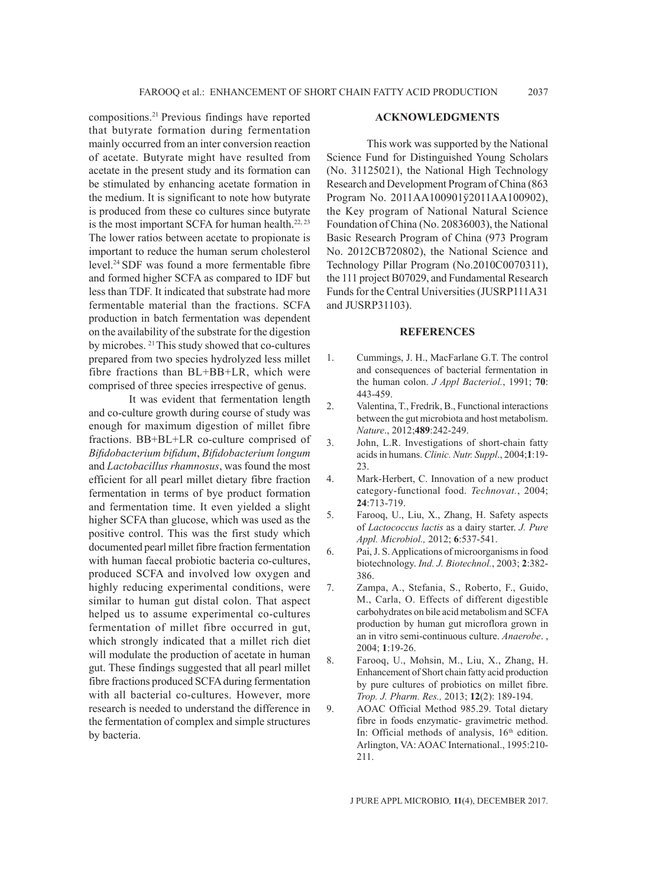compositions.21 Previous findings have reported that butyrate formation during fermentation mainly occurred from an inter conversion reaction of acetate. Butyrate might have resulted from acetate in the present study and its formation can be stimulated by enhancing acetate formation in the medium. It is significant to note how butyrate is produced from these co cultures since butyrate is the most important SCFA for human health. $22, 23$ The lower ratios between acetate to propionate is important to reduce the human serum cholesterol level.24 SDF was found a more fermentable fibre and formed higher SCFA as compared to IDF but less than TDF. It indicated that substrate had more fermentable material than the fractions. SCFA production in batch fermentation was dependent on the availability of the substrate for the digestion by microbes. 21 This study showed that co-cultures prepared from two species hydrolyzed less millet fibre fractions than BL+BB+LR, which were comprised of three species irrespective of genus.

It was evident that fermentation length and co-culture growth during course of study was enough for maximum digestion of millet fibre fractions. BB+BL+LR co-culture comprised of *Bifidobacterium bifidum*, *Bifidobacterium longum*  and *Lactobacillus rhamnosus*, was found the most efficient for all pearl millet dietary fibre fraction fermentation in terms of bye product formation and fermentation time. It even yielded a slight higher SCFA than glucose, which was used as the positive control. This was the first study which documented pearl millet fibre fraction fermentation with human faecal probiotic bacteria co-cultures, produced SCFA and involved low oxygen and highly reducing experimental conditions, were similar to human gut distal colon. That aspect helped us to assume experimental co-cultures fermentation of millet fibre occurred in gut, which strongly indicated that a millet rich diet will modulate the production of acetate in human gut. These findings suggested that all pearl millet fibre fractions produced SCFA during fermentation with all bacterial co-cultures. However, more research is needed to understand the difference in the fermentation of complex and simple structures by bacteria.

#### **ACKNOWLEDGMENTS**

This work was supported by the National Science Fund for Distinguished Young Scholars (No. 31125021), the National High Technology Research and Development Program of China (863 Program No. 2011AA100901ÿ2011AA100902), the Key program of National Natural Science Foundation of China (No. 20836003), the National Basic Research Program of China (973 Program No. 2012CB720802), the National Science and Technology Pillar Program (No.2010C0070311), the 111 project B07029, and Fundamental Research Funds for the Central Universities (JUSRP111A31 and JUSRP31103).

### **REFERENCES**

- 1. Cummings, J. H., MacFarlane G.T. The control and consequences of bacterial fermentation in the human colon. *J Appl Bacteriol.*, 1991; **70**: 443-459.
- 2. Valentina, T., Fredrik, B., Functional interactions between the gut microbiota and host metabolism. *Nature*., 2012;**489**:242-249.
- 3. John, L.R. Investigations of short-chain fatty acids in humans. *Clinic. Nutr. Suppl*., 2004;**1**:19- 23.
- 4. Mark-Herbert, C. Innovation of a new product category-functional food. *Technovat.*, 2004; **24**:713-719.
- 5. Farooq, U., Liu, X., Zhang, H. Safety aspects of *Lactococcus lactis* as a dairy starter. *J. Pure Appl. Microbiol.,* 2012; **6**:537-541.
- 6. Pai, J. S. Applications of microorganisms in food biotechnology. *Ind. J. Biotechnol.*, 2003; **2**:382- 386.
- 7. Zampa, A., Stefania, S., Roberto, F., Guido, M., Carla, O. Effects of different digestible carbohydrates on bile acid metabolism and SCFA production by human gut microflora grown in an in vitro semi-continuous culture. *Anaerobe*. , 2004; **1**:19-26.
- 8. Farooq, U., Mohsin, M., Liu, X., Zhang, H. Enhancement of Short chain fatty acid production by pure cultures of probiotics on millet fibre. *Trop. J. Pharm. Res.,* 2013; **12**(2): 189-194.
- 9. AOAC Official Method 985.29. Total dietary fibre in foods enzymatic- gravimetric method. In: Official methods of analysis, 16<sup>th</sup> edition. Arlington, VA: AOAC International., 1995:210- 211.

J PURE APPL MICROBIO*,* **11**(4), DECEMBER 2017.